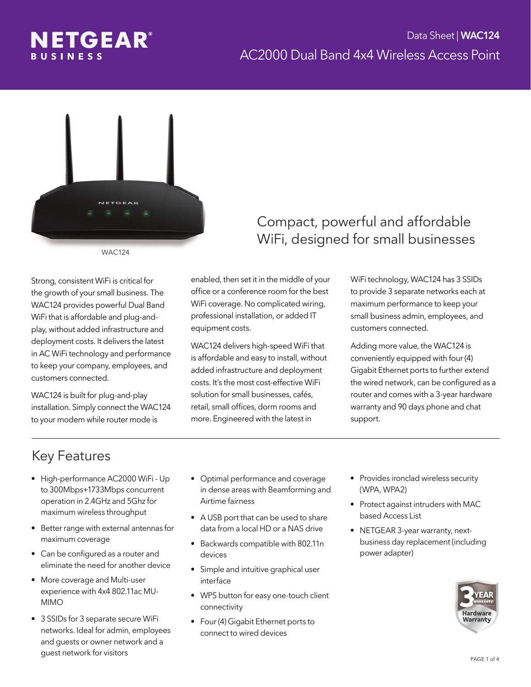

WAC124

Strong, consistent WiFi is critical for the growth of your small business. The WAC124 provides powerful Dual Band WiFi that is affordable and plug-andplay, without added infrastructure and deployment costs. It delivers the latest in AC WiFi technology and performance to keep your company, employees, and customers connected.

WAC124 is built for plug-and-play installation. Simply connect the WAC124 to your modem while router mode is

#### Compact, powerful and affordable WiFi, designed for small businesses

enabled, then set it in the middle of your office or a conference room for the best WiFi coverage. No complicated wiring, professional installation, or added IT equipment costs.

WAC124 delivers high-speed WiFi that is affordable and easy to install, without added infrastructure and deployment costs. It's the most cost-effective WiFi solution for small businesses, cafés, retail, small offices, dorm rooms and more. Engineered with the latest in

WiFi technology, WAC124 has 3 SSIDs to provide 3 separate networks each at maximum performance to keep your small business admin, employees, and customers connected.

Adding more value, the WAC124 is conveniently equipped with four (4) Gigabit Ethernet ports to further extend the wired network, can be configured as a router and comes with a 3-year hardware warranty and 90 days phone and chat support.

# Key Features

- High-performance AC2000 WiFi Up to 300Mbps+1733Mbps concurrent operation in 2.4GHz and 5Ghz for maximum wireless throughput
- Better range with external antennas for maximum coverage
- Can be configured as a router and eliminate the need for another device
- More coverage and Multi-user experience with 4x4 802.11ac MU-MIMO
- 3 SSIDs for 3 separate secure WiFi networks. Ideal for admin, employees and guests or owner network and a guest network for visitors
- Optimal performance and coverage in dense areas with Beamforming and Airtime fairness
- A USB port that can be used to share data from a local HD or a NAS drive
- Backwards compatible with 802.11n devices
- Simple and intuitive graphical user interface
- WPS button for easy one-touch client connectivity
- Four (4) Gigabit Ethernet ports to connect to wired devices
- Provides ironclad wireless security (WPA, WPA2)
- Protect against intruders with MAC based Access List
- NETGEAR 3-year warranty, nextbusiness day replacement (including power adapter)

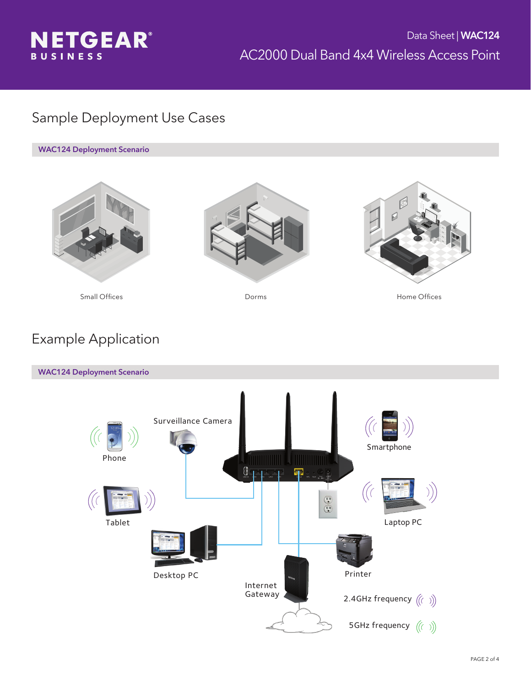

### Sample Deployment Use Cases

WAC124 Deployment Scenario







Small Offices **Example 20** Dorms **Community** Dorms **Home Offices** 

# Example Application

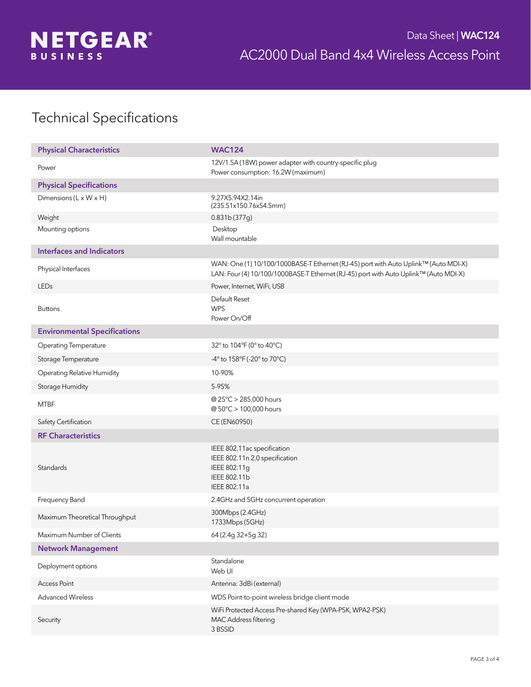

# Technical Specifications

| <b>Physical Characteristics</b>      | <b>WAC124</b>                                                                                                                                                               |
|--------------------------------------|-----------------------------------------------------------------------------------------------------------------------------------------------------------------------------|
| Power                                | 12V/1.5A (18W) power adapter with country-specific plug<br>Power consumption: 16.2W (maximum)                                                                               |
| <b>Physical Specifications</b>       |                                                                                                                                                                             |
| Dimensions ( $L \times W \times H$ ) | 9.27X5.94X2.14in<br>(235.51x150.76x54.5mm)                                                                                                                                  |
| Weight                               | 0.831b (377g)                                                                                                                                                               |
| Mounting options                     | Desktop<br>Wall mountable                                                                                                                                                   |
| <b>Interfaces and Indicators</b>     |                                                                                                                                                                             |
| Physical Interfaces                  | WAN: One (1) 10/100/1000BASE-T Ethernet (RJ-45) port with Auto Uplink™ (Auto MDI-X)<br>LAN: Four (4) 10/100/1000BASE-T Ethernet (RJ-45) port with Auto Uplink™ (Auto MDI-X) |
| LEDs                                 | Power, Internet, WiFi, USB                                                                                                                                                  |
| <b>Buttons</b>                       | Default Reset<br><b>WPS</b><br>Power On/Off                                                                                                                                 |
| <b>Environmental Specifications</b>  |                                                                                                                                                                             |
| <b>Operating Temperature</b>         | 32° to 104°F (0° to 40°C)                                                                                                                                                   |
| Storage Temperature                  | -4° to 158°F (-20° to 70°C)                                                                                                                                                 |
| <b>Operating Relative Humidity</b>   | 10-90%                                                                                                                                                                      |
| Storage Humidity                     | 5-95%                                                                                                                                                                       |
| <b>MTBF</b>                          | @ 25°C > 285,000 hours<br>@ 50°C > 100,000 hours                                                                                                                            |
| Safety Certification                 | CE (EN60950)                                                                                                                                                                |
| <b>RF Characteristics</b>            |                                                                                                                                                                             |
| Standards                            | IEEE 802.11ac specification<br>IEEE 802.11n 2.0 specification<br>IEEE 802.11g<br>IEEE 802.11b<br>IEEE 802.11a                                                               |
| Frequency Band                       | 2.4GHz and 5GHz concurrent operation                                                                                                                                        |
| Maximum Theoretical Throughput       | 300Mbps (2.4GHz)<br>1733Mbps (5GHz)                                                                                                                                         |
| Maximum Number of Clients            | 64 (2.4g 32+5g 32)                                                                                                                                                          |
| <b>Network Management</b>            |                                                                                                                                                                             |
| Deployment options                   | Standalone<br>Web UI                                                                                                                                                        |
| <b>Access Point</b>                  | Antenna: 3dBi (external)                                                                                                                                                    |
| <b>Advanced Wireless</b>             | WDS Point-to-point wireless bridge client mode                                                                                                                              |
| Security                             | WiFi Protected Access Pre-shared Key (WPA-PSK, WPA2-PSK)<br>MAC Address filtering<br>3 BSSID                                                                                |